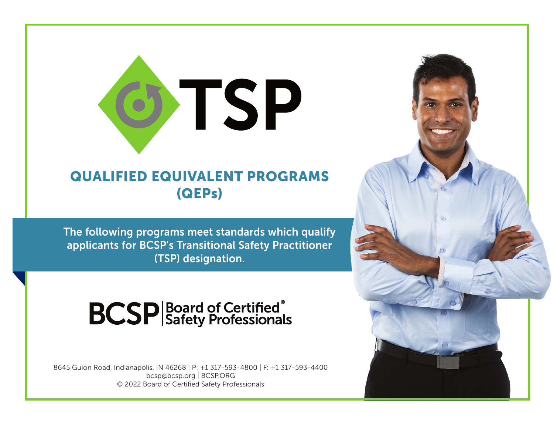

## QUALIFIED EQUIVALENT PROGRAMS (QEPs)

The following programs meet standards which qualify applicants for BCSP's Transitional Safety Practitioner (TSP) designation.

## **BCSP** Safety Professionals

8645 Guion Road, Indianapolis, IN 46268 | P: +1 317-593-4800 | F: +1 317-593-4400 bcsp@bcsp.org | BCSP.ORG © 2022 Board of Certified Safety Professionals

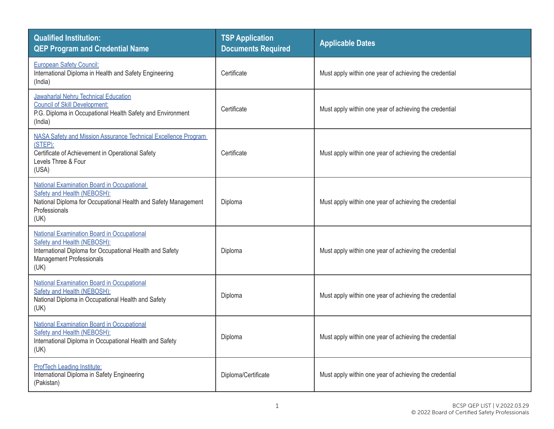| <b>Qualified Institution:</b><br><b>QEP Program and Credential Name</b>                                                                                                     | <b>TSP Application</b><br><b>Documents Required</b> | <b>Applicable Dates</b>                                |
|-----------------------------------------------------------------------------------------------------------------------------------------------------------------------------|-----------------------------------------------------|--------------------------------------------------------|
| <b>European Safety Council:</b><br>International Diploma in Health and Safety Engineering<br>(India)                                                                        | Certificate                                         | Must apply within one year of achieving the credential |
| Jawaharlal Nehru Technical Education<br><b>Council of Skill Development:</b><br>P.G. Diploma in Occupational Health Safety and Environment<br>(India)                       | Certificate                                         | Must apply within one year of achieving the credential |
| NASA Safety and Mission Assurance Technical Excellence Program<br>$(STEP)$ :<br>Certificate of Achievement in Operational Safety<br>Levels Three & Four<br>(USA)            | Certificate                                         | Must apply within one year of achieving the credential |
| <b>National Examination Board in Occupational</b><br>Safety and Health (NEBOSH):<br>National Diploma for Occupational Health and Safety Management<br>Professionals<br>(UK) | Diploma                                             | Must apply within one year of achieving the credential |
| National Examination Board in Occupational<br>Safety and Health (NEBOSH):<br>International Diploma for Occupational Health and Safety<br>Management Professionals<br>(UK)   | Diploma                                             | Must apply within one year of achieving the credential |
| National Examination Board in Occupational<br>Safety and Health (NEBOSH):<br>National Diploma in Occupational Health and Safety<br>(UK)                                     | Diploma                                             | Must apply within one year of achieving the credential |
| <b>National Examination Board in Occupational</b><br>Safety and Health (NEBOSH):<br>International Diploma in Occupational Health and Safety<br>(UK)                         | Diploma                                             | Must apply within one year of achieving the credential |
| <b>ProfTech Leading Institute:</b><br>International Diploma in Safety Engineering<br>(Pakistan)                                                                             | Diploma/Certificate                                 | Must apply within one year of achieving the credential |